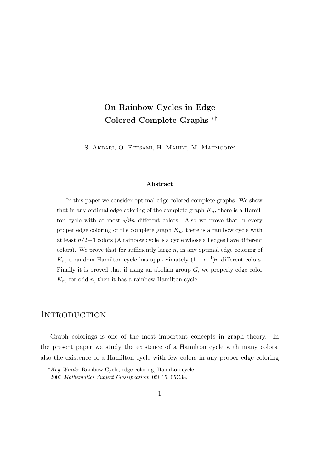# On Rainbow Cycles in Edge Colored Complete Graphs ∗†

S. Akbari, O. Etesami, H. Mahini, M. Mahmoody

#### Abstract

In this paper we consider optimal edge colored complete graphs. We show that in any optimal edge coloring of the complete graph  $K_n$ , there is a Hamilton cycle with at most  $\sqrt{8n}$  different colors. Also we prove that in every proper edge coloring of the complete graph  $K_n$ , there is a rainbow cycle with at least n/2−1 colors (A rainbow cycle is a cycle whose all edges have different colors). We prove that for sufficiently large  $n$ , in any optimal edge coloring of  $K_n$ , a random Hamilton cycle has approximately  $(1 - e^{-1})n$  different colors. Finally it is proved that if using an abelian group  $G$ , we properly edge color  $K_n$ , for odd n, then it has a rainbow Hamilton cycle.

### **INTRODUCTION**

Graph colorings is one of the most important concepts in graph theory. In the present paper we study the existence of a Hamilton cycle with many colors, also the existence of a Hamilton cycle with few colors in any proper edge coloring

<sup>∗</sup>Key Words: Rainbow Cycle, edge coloring, Hamilton cycle.

<sup>†</sup>2000 Mathematics Subject Classification: 05C15, 05C38.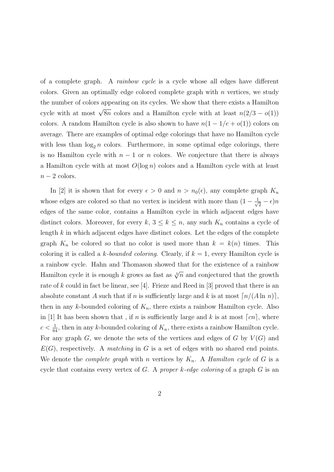of a complete graph. A rainbow cycle is a cycle whose all edges have different colors. Given an optimally edge colored complete graph with  $n$  vertices, we study the number of colors appearing on its cycles. We show that there exists a Hamilton cycle with at most  $\sqrt{8n}$  colors and a Hamilton cycle with at least  $n(2/3 - o(1))$ colors. A random Hamilton cycle is also shown to have  $n(1 - 1/e + o(1))$  colors on average. There are examples of optimal edge colorings that have no Hamilton cycle with less than  $\log_2 n$  colors. Furthermore, in some optimal edge colorings, there is no Hamilton cycle with  $n-1$  or n colors. We conjecture that there is always a Hamilton cycle with at most  $O(\log n)$  colors and a Hamilton cycle with at least  $n-2$  colors.

In [2] it is shown that for every  $\epsilon > 0$  and  $n > n_0(\epsilon)$ , any complete graph  $K_n$ whose edges are colored so that no vertex is incident with more than  $(1 - \frac{1}{\sqrt{2}})$  $\frac{1}{2} - \epsilon$ )n edges of the same color, contains a Hamilton cycle in which adjacent edges have distinct colors. Moreover, for every k,  $3 \leq k \leq n$ , any such  $K_n$  contains a cycle of length  $k$  in which adjacent edges have distinct colors. Let the edges of the complete graph  $K_n$  be colored so that no color is used more than  $k = k(n)$  times. This coloring it is called a k-bounded coloring. Clearly, if  $k = 1$ , every Hamilton cycle is a rainbow cycle. Hahn and Thomason showed that for the existence of a rainbow Hamilton cycle it is enough k grows as fast as  $\sqrt[3]{n}$  and conjectured that the growth rate of k could in fact be linear, see [4]. Frieze and Reed in [3] proved that there is an absolute constant A such that if n is sufficiently large and k is at most  $\lceil n/(A \ln n) \rceil$ , then in any k-bounded coloring of  $K_n$ , there exists a rainbow Hamilton cycle. Also in [1] It has been shown that, if n is sufficiently large and k is at most  $\lceil cn \rceil$ , where  $c < \frac{1}{64}$ , then in any k-bounded coloring of  $K_n$ , there exists a rainbow Hamilton cycle. For any graph G, we denote the sets of the vertices and edges of G by  $V(G)$  and  $E(G)$ , respectively. A matching in G is a set of edges with no shared end points. We denote the *complete graph* with *n* vertices by  $K_n$ . A *Hamilton cycle* of G is a cycle that contains every vertex of  $G$ . A proper k-edge coloring of a graph  $G$  is an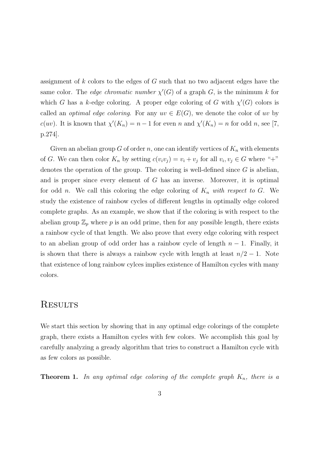assignment of k colors to the edges of G such that no two adjacent edges have the same color. The *edge chromatic number*  $\chi'(G)$  of a graph G, is the minimum k for which G has a k-edge coloring. A proper edge coloring of G with  $\chi'(G)$  colors is called an *optimal edge coloring*. For any  $uv \in E(G)$ , we denote the color of uv by  $c(uv)$ . It is known that  $\chi'(K_n) = n - 1$  for even n and  $\chi'(K_n) = n$  for odd n, see [7, p.274].

Given an abelian group G of order n, one can identify vertices of  $K_n$  with elements of G. We can then color  $K_n$  by setting  $c(v_i v_j) = v_i + v_j$  for all  $v_i, v_j \in G$  where "+" denotes the operation of the group. The coloring is well-defined since  $G$  is abelian, and is proper since every element of G has an inverse. Moreover, it is optimal for odd n. We call this coloring the edge coloring of  $K_n$  with respect to G. We study the existence of rainbow cycles of different lengths in optimally edge colored complete graphs. As an example, we show that if the coloring is with respect to the abelian group  $\mathbb{Z}_p$  where p is an odd prime, then for any possible length, there exists a rainbow cycle of that length. We also prove that every edge coloring with respect to an abelian group of odd order has a rainbow cycle of length  $n-1$ . Finally, it is shown that there is always a rainbow cycle with length at least  $n/2 - 1$ . Note that existence of long rainbow cylces implies existence of Hamilton cycles with many colors.

## **RESULTS**

We start this section by showing that in any optimal edge colorings of the complete graph, there exists a Hamilton cycles with few colors. We accomplish this goal by carefully analyzing a gready algorithm that tries to construct a Hamilton cycle with as few colors as possible.

**Theorem 1.** In any optimal edge coloring of the complete graph  $K_n$ , there is a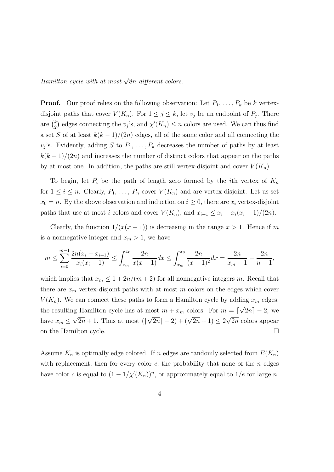Hamilton cycle with at most  $\sqrt{8n}$  different colors.

**Proof.** Our proof relies on the following observation: Let  $P_1, \ldots, P_k$  be k vertexdisjoint paths that cover  $V(K_n)$ . For  $1 \leq j \leq k$ , let  $v_j$  be an endpoint of  $P_j$ . There are  $\binom{k}{2}$  $\chi^k_{(2)}$  edges connecting the  $v_j$ 's, and  $\chi'(K_n) \leq n$  colors are used. We can thus find a set S of at least  $k(k-1)/(2n)$  edges, all of the same color and all connecting the  $v_j$ 's. Evidently, adding S to  $P_1, \ldots, P_k$  decreases the number of paths by at least  $k(k-1)/(2n)$  and increases the number of distinct colors that appear on the paths by at most one. In addition, the paths are still vertex-disjoint and cover  $V(K_n)$ .

To begin, let  $P_i$  be the path of length zero formed by the *i*th vertex of  $K_n$ for  $1 \leq i \leq n$ . Clearly,  $P_1, \ldots, P_n$  cover  $V(K_n)$  and are vertex-disjoint. Let us set  $x_0 = n$ . By the above observation and induction on  $i \geq 0$ , there are  $x_i$  vertex-disjoint paths that use at most i colors and cover  $V(K_n)$ , and  $x_{i+1} \leq x_i - x_i(x_i - 1)/(2n)$ .

Clearly, the function  $1/(x(x-1))$  is decreasing in the range  $x > 1$ . Hence if m is a nonnegative integer and  $x_m > 1$ , we have

$$
m \le \sum_{i=0}^{m-1} \frac{2n(x_i - x_{i+1})}{x_i(x_i - 1)} \le \int_{x_m}^{x_0} \frac{2n}{x(x - 1)} dx \le \int_{x_m}^{x_0} \frac{2n}{(x - 1)^2} dx = \frac{2n}{x_m - 1} - \frac{2n}{n - 1},
$$

which implies that  $x_m \leq 1 + \frac{2n}{m+2}$  for all nonnegative integers m. Recall that there are  $x_m$  vertex-disjoint paths with at most m colors on the edges which cover  $V(K_n)$ . We can connect these paths to form a Hamilton cycle by adding  $x_m$  edges; the resulting Hamilton cycle has at most  $m + x_m$  colors. For  $m = \lceil$ √  $[2n] - 2$ , we have  $x_m \leq$ °′  $2n + 1$ . Thus at most (  $\sqrt{2n}$ ]  $-2$ ) + ( $\sqrt{2n}$  + 1)  $\leq 2$ √ 2n colors appear on the Hamilton cycle.  $\Box$ 

Assume  $K_n$  is optimally edge colored. If n edges are randomly selected from  $E(K_n)$ with replacement, then for every color  $c$ , the probability that none of the  $n$  edges have color c is equal to  $(1 - 1/\chi'(K_n))^n$ , or approximately equal to  $1/e$  for large n.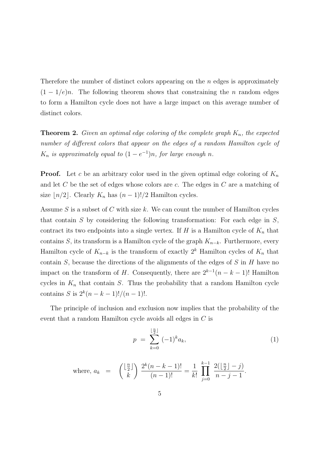Therefore the number of distinct colors appearing on the  $n$  edges is approximately  $(1 - 1/e)n$ . The following theorem shows that constraining the *n* random edges to form a Hamilton cycle does not have a large impact on this average number of distinct colors.

**Theorem 2.** Given an optimal edge coloring of the complete graph  $K_n$ , the expected number of different colors that appear on the edges of a random Hamilton cycle of  $K_n$  is approximately equal to  $(1-e^{-1})n$ , for large enough n.

**Proof.** Let c be an arbitrary color used in the given optimal edge coloring of  $K_n$ and let C be the set of edges whose colors are c. The edges in C are a matching of size  $\lfloor n/2 \rfloor$ . Clearly  $K_n$  has  $(n - 1)!/2$  Hamilton cycles.

Assume  $S$  is a subset of  $C$  with size  $k$ . We can count the number of Hamilton cycles that contain  $S$  by considering the following transformation: For each edge in  $S$ , contract its two endpoints into a single vertex. If  $H$  is a Hamilton cycle of  $K_n$  that contains S, its transform is a Hamilton cycle of the graph  $K_{n-k}$ . Furthermore, every Hamilton cycle of  $K_{n-k}$  is the transform of exactly  $2<sup>k</sup>$  Hamilton cycles of  $K_n$  that contain  $S$ , because the directions of the alignments of the edges of  $S$  in  $H$  have no impact on the transform of H. Consequently, there are  $2^{k-1}(n-k-1)!$  Hamilton cycles in  $K_n$  that contain S. Thus the probability that a random Hamilton cycle contains S is  $2^{k}(n-k-1)!/(n-1)!$ .

The principle of inclusion and exclusion now implies that the probability of the event that a random Hamilton cycle avoids all edges in C is

$$
p = \sum_{k=0}^{\lfloor \frac{n}{2} \rfloor} (-1)^k a_k,
$$
\n(1)

where,  $a_k =$  $\sqrt{\frac{n}{2}}$  $\frac{n}{2}$ k  $\sum_{k=1}^{k} (n-k-1)!$  $\frac{n(n-1)!}{(n-1)!} =$ 1  $k!$  $\prod^{k-1}$  $j=0$  $2(\frac{n}{2})$  $\frac{n}{2}$ ] – j)  $n - j - 1$ .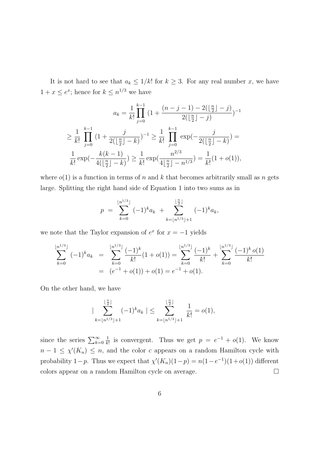It is not hard to see that  $a_k \leq 1/k!$  for  $k \geq 3$ . For any real number x, we have  $1 + x \leq e^x$ ; hence for  $k \leq n^{1/3}$  we have

$$
a_k = \frac{1}{k!} \prod_{j=0}^{k-1} \left(1 + \frac{(n-j-1) - 2(\lfloor \frac{n}{2} \rfloor - j)}{2(\lfloor \frac{n}{2} \rfloor - j)}\right)^{-1}
$$
  
\n
$$
\geq \frac{1}{k!} \prod_{j=0}^{k-1} \left(1 + \frac{j}{2(\lfloor \frac{n}{2} \rfloor - k)}\right)^{-1} \geq \frac{1}{k!} \prod_{j=0}^{k-1} \exp\left(-\frac{j}{2(\lfloor \frac{n}{2} \rfloor - k)}\right) =
$$
  
\n
$$
\frac{1}{k!} \exp\left(-\frac{k(k-1)}{4(\lfloor \frac{n}{2} \rfloor - k)}\right) \geq \frac{1}{k!} \exp\left(\frac{n^{2/3}}{4\lfloor \frac{n}{2} \rfloor - n^{1/3}}\right) = \frac{1}{k!} (1 + o(1)),
$$

where  $o(1)$  is a function in terms of n and k that becomes arbitrarily small as n gets large. Splitting the right hand side of Equation 1 into two sums as in

$$
p = \sum_{k=0}^{\lfloor n^{1/3} \rfloor} (-1)^k a_k + \sum_{k=\lfloor n^{1/3} \rfloor+1}^{\lfloor \frac{n}{2} \rfloor} (-1)^k a_k,
$$

we note that the Taylor expansion of  $e^x$  for  $x = -1$  yields

$$
\sum_{k=0}^{\lfloor n^{1/3} \rfloor} (-1)^k a_k = \sum_{k=0}^{\lfloor n^{1/3} \rfloor} \frac{(-1)^k}{k!} (1+o(1)) = \sum_{k=0}^{\lfloor n^{1/3} \rfloor} \frac{(-1)^k}{k!} + \sum_{k=0}^{\lfloor n^{1/3} \rfloor} \frac{(-1)^k o(1)}{k!}
$$
  
=  $(e^{-1} + o(1)) + o(1) = e^{-1} + o(1).$ 

On the other hand, we have

$$
|\sum_{k=\lfloor n^{1/3}\rfloor+1}^{\lfloor \frac{n}{2}\rfloor}(-1)^k a_k | \leq \sum_{k=\lfloor n^{1/3}\rfloor+1}^{\lfloor \frac{n}{2}\rfloor} \frac{1}{k!} = o(1),
$$

since the series  $\sum_{k=0}^{\infty}$ 1  $\frac{1}{k!}$  is convergent. Thus we get  $p = e^{-1} + o(1)$ . We know  $n-1 \leq \chi'(K_n) \leq n$ , and the color c appears on a random Hamilton cycle with probability 1-p. Thus we expect that  $\chi'(K_n)(1-p) = n(1-e^{-1})(1+o(1))$  different colors appear on a random Hamilton cycle on average.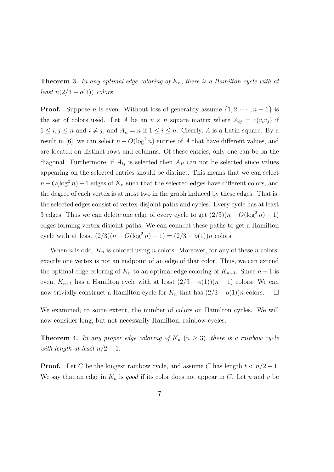**Theorem 3.** In any optimal edge coloring of  $K_n$ , there is a Hamilton cycle with at least  $n(2/3 - o(1))$  colors.

**Proof.** Suppose *n* is even. Without loss of generality assume  $\{1, 2, \dots, n-1\}$  is the set of colors used. Let A be an  $n \times n$  square matrix where  $A_{ij} = c(v_i v_j)$  if  $1 \leq i, j \leq n$  and  $i \neq j$ , and  $A_{ii} = n$  if  $1 \leq i \leq n$ . Clearly, A is a Latin square. By a result in [6], we can select  $n - O(\log^2 n)$  entries of A that have different values, and are located on distinct rows and columns. Of these entries, only one can be on the diagonal. Furthermore, if  $A_{ij}$  is selected then  $A_{ji}$  can not be selected since values appearing on the selected entries should be distinct. This means that we can select  $n - O(\log^2 n) - 1$  edges of  $K_n$  such that the selected edges have different colors, and the degree of each vertex is at most two in the graph induced by these edges. That is, the selected edges consist of vertex-disjoint paths and cycles. Every cycle has at least 3 edges. Thus we can delete one edge of every cycle to get  $(2/3)(n - O(\log^2 n) - 1)$ edges forming vertex-disjoint paths. We can connect these paths to get a Hamilton cycle with at least  $(2/3)(n - O(\log^2 n) - 1) = (2/3 - o(1))n$  colors.

When n is odd,  $K_n$  is colored using n colors. Moreover, for any of these n colors, exactly one vertex is not an endpoint of an edge of that color. Thus, we can extend the optimal edge coloring of  $K_n$  to an optimal edge coloring of  $K_{n+1}$ . Since  $n+1$  is even,  $K_{n+1}$  has a Hamilton cycle with at least  $(2/3 - o(1))(n + 1)$  colors. We can now trivially construct a Hamilton cycle for  $K_n$  that has  $(2/3 - o(1))n$  colors.  $\Box$ 

We examined, to some extent, the number of colors on Hamilton cycles. We will now consider long, but not necessarily Hamilton, rainbow cycles.

**Theorem 4.** In any proper edge coloring of  $K_n$   $(n \geq 3)$ , there is a rainbow cycle with length at least  $n/2-1$ .

**Proof.** Let C be the longest rainbow cycle, and assume C has length  $t < n/2 - 1$ . We say that an edge in  $K_n$  is good if its color does not appear in C. Let u and v be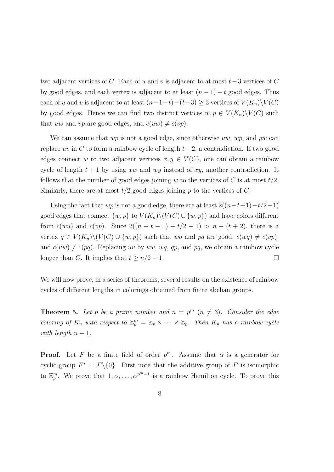two adjacent vertices of C. Each of u and v is adjacent to at most  $t-3$  vertices of C by good edges, and each vertex is adjacent to at least  $(n-1) - t$  good edges. Thus each of u and v is adjacent to at least  $(n-1-t)-(t-3) \geq 3$  vertices of  $V(K_n)\setminus V(C)$ by good edges. Hence we can find two distinct vertices  $w, p \in V(K_n) \backslash V(C)$  such that uw and vp are good edges, and  $c(uw) \neq c(vp)$ .

We can assume that  $wp$  is not a good edge, since otherwise  $uw$ ,  $wp$ , and  $pw$  can replace uv in C to form a rainbow cycle of length  $t+2$ , a contradiction. If two good edges connect w to two adjacent vertices  $x, y \in V(C)$ , one can obtain a rainbow cycle of length  $t + 1$  by using xw and wy instead of xy, another contradiction. It follows that the number of good edges joining w to the vertices of C is at most  $t/2$ . Similarly, there are at most  $t/2$  good edges joining p to the vertices of C.

Using the fact that wp is not a good edge, there are at least  $2((n-t-1)-t/2-1)$ good edges that connect  $\{w, p\}$  to  $V(K_n)\setminus (V(C) \cup \{w, p\})$  and have colors different from  $c(wu)$  and  $c(vp)$ . Since  $2((n-t-1)-t/2-1) > n-(t+2)$ , there is a vertex  $q \in V(K_n) \setminus (V(C) \cup \{w, p\})$  such that wq and pq are good,  $c(wq) \neq c(vp)$ , and  $c(uw) \neq c(pq)$ . Replacing uv by uw, wq, qp, and pq, we obtain a rainbow cycle longer than C. It implies that  $t \geq n/2 - 1$ .

We will now prove, in a series of theorems, several results on the existence of rainbow cycles of different lengths in colorings obtained from finite abelian groups.

**Theorem 5.** Let p be a prime number and  $n = p^m$   $(n \neq 3)$ . Consider the edge coloring of  $K_n$  with respect to  $\mathbb{Z}_p^m = \mathbb{Z}_p \times \cdots \times \mathbb{Z}_p$ . Then  $K_n$  has a rainbow cycle with length  $n-1$ .

**Proof.** Let F be a finite field of order  $p^m$ . Assume that  $\alpha$  is a generator for cyclic group  $F^* = F \setminus \{0\}$ . First note that the additive group of F is isomorphic to  $\mathbb{Z}_p^m$ . We prove that  $1, \alpha, \ldots, \alpha^{p^m-1}$  is a rainbow Hamilton cycle. To prove this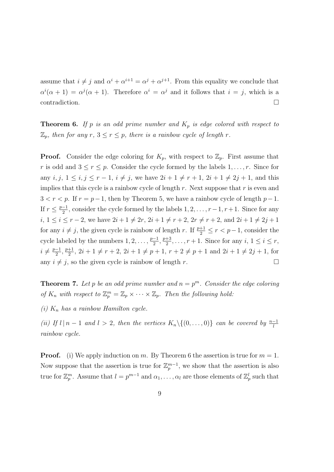assume that  $i \neq j$  and  $\alpha^{i} + \alpha^{i+1} = \alpha^{j} + \alpha^{j+1}$ . From this equality we conclude that  $\alpha^{i}(\alpha+1) = \alpha^{j}(\alpha+1)$ . Therefore  $\alpha^{i} = \alpha^{j}$  and it follows that  $i = j$ , which is a contradiction.

**Theorem 6.** If p is an odd prime number and  $K_p$  is edge colored with respect to  $\mathbb{Z}_p$ , then for any  $r, 3 \leq r \leq p$ , there is a rainbow cycle of length r.

**Proof.** Consider the edge coloring for  $K_p$ , with respect to  $\mathbb{Z}_p$ . First assume that r is odd and  $3 \le r \le p$ . Consider the cycle formed by the labels  $1, \ldots, r$ . Since for any  $i, j, 1 \le i, j \le r - 1, i \ne j$ , we have  $2i + 1 \ne r + 1, 2i + 1 \ne 2j + 1$ , and this implies that this cycle is a rainbow cycle of length  $r$ . Next suppose that  $r$  is even and  $3 < r < p$ . If  $r = p-1$ , then by Theorem 5, we have a rainbow cycle of length  $p-1$ . If  $r \leq \frac{p-1}{2}$  $\frac{-1}{2}$ , consider the cycle formed by the labels  $1, 2, \ldots, r-1, r+1$ . Since for any *i*,  $1 \le i \le r-2$ , we have  $2i+1 \ne 2r$ ,  $2i+1 \ne r+2$ ,  $2r \ne r+2$ , and  $2i+1 \ne 2j+1$ for any  $i \neq j$ , the given cycle is rainbow of length r. If  $\frac{p+1}{2} \leq r < p-1$ , consider the cycle labeled by the numbers  $1, 2, \ldots, \frac{p-1}{2}$  $\frac{-1}{2}, \frac{p+3}{2}$  $\frac{+3}{2}, \ldots, r+1$ . Since for any  $i, 1 \leq i \leq r$ ,  $i \neq \frac{p-1}{2}$  $\frac{-1}{2}, \frac{p+1}{2}$  $\frac{+1}{2}$ ,  $2i + 1 \neq r + 2$ ,  $2i + 1 \neq p + 1$ ,  $r + 2 \neq p + 1$  and  $2i + 1 \neq 2j + 1$ , for any  $i \neq j$ , so the given cycle is rainbow of length r.

**Theorem 7.** Let p be an odd prime number and  $n = p^m$ . Consider the edge coloring of  $K_n$  with respect to  $\mathbb{Z}_p^m = \mathbb{Z}_p \times \cdots \times \mathbb{Z}_p$ . Then the following hold:

(i)  $K_n$  has a rainbow Hamilton cycle.

(ii) If  $l | n - 1$  and  $l > 2$ , then the vertices  $K_n \setminus \{(0, \ldots, 0)\}$  can be covered by  $\frac{n-1}{l}$ rainbow cycle.

**Proof.** (i) We apply induction on m. By Theorem 6 the assertion is true for  $m = 1$ . Now suppose that the assertion is true for  $\mathbb{Z}_p^{m-1}$ , we show that the assertion is also true for  $\mathbb{Z}_p^m$ . Assume that  $l = p^{m-1}$  and  $\alpha_1, \ldots, \alpha_l$  are those elements of  $\mathbb{Z}_p^l$  such that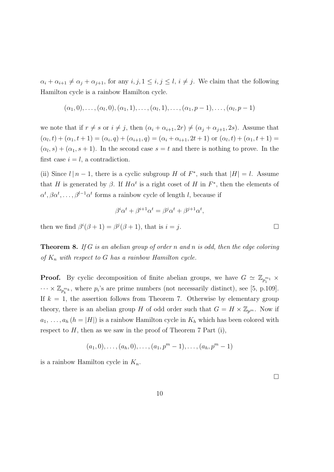$\alpha_i + \alpha_{i+1} \neq \alpha_j + \alpha_{j+1}$ , for any  $i, j, 1 \leq i, j \leq l, i \neq j$ . We claim that the following Hamilton cycle is a rainbow Hamilton cycle.

$$
(\alpha_1, 0), \ldots, (\alpha_l, 0), (\alpha_1, 1), \ldots, (\alpha_l, 1), \ldots, (\alpha_1, p-1), \ldots, (\alpha_l, p-1)
$$

we note that if  $r \neq s$  or  $i \neq j$ , then  $(\alpha_i + \alpha_{i+1}, 2r) \neq (\alpha_j + \alpha_{j+1}, 2s)$ . Assume that  $(\alpha_l, t) + (\alpha_1, t + 1) = (\alpha_i, q) + (\alpha_{i+1}, q) = (\alpha_i + \alpha_{i+1}, 2t + 1)$  or  $(\alpha_l, t) + (\alpha_1, t + 1) =$  $(\alpha_l, s) + (\alpha_1, s + 1)$ . In the second case  $s = t$  and there is nothing to prove. In the first case  $i = l$ , a contradiction.

(ii) Since  $l | n - 1$ , there is a cyclic subgroup H of  $F^*$ , such that  $|H| = l$ . Assume that H is generated by  $\beta$ . If  $H\alpha^t$  is a right coset of H in  $F^*$ , then the elements of  $\alpha^t, \beta \alpha^t, \ldots, \beta^{l-1} \alpha^t$  forms a rainbow cycle of length l, because if

$$
\beta^i \alpha^t + \beta^{i+1} \alpha^t = \beta^j \alpha^t + \beta^{j+1} \alpha^t,
$$

then we find  $\beta^{i}(\beta + 1) = \beta^{j}(\beta + 1)$ , that is  $i = j$ .

**Theorem 8.** If G is an abelian group of order n and n is odd, then the edge coloring of  $K_n$  with respect to G has a rainbow Hamilton cycle.

**Proof.** By cyclic decomposition of finite abelian groups, we have  $G \simeq \mathbb{Z}_{p_1^{m_1}} \times$  $\cdots \times \mathbb{Z}_{p_k^{m_k}}$ , where  $p_i$ 's are prime numbers (not necessarily distinct), see [5, p.109]. If  $k = 1$ , the assertion follows from Theorem 7. Otherwise by elementary group theory, there is an abelian group H of odd order such that  $G = H \times \mathbb{Z}_{p^m}$ . Now if  $a_1, \ldots, a_h$   $(h = |H|)$  is a rainbow Hamilton cycle in  $K_h$  which has been colored with respect to  $H$ , then as we saw in the proof of Theorem 7 Part (i),

$$
(a_1,0),\ldots,(a_h,0),\ldots,(a_1,p^m-1),\ldots,(a_h,p^m-1)
$$

is a rainbow Hamilton cycle in  $K_n$ .

 $\Box$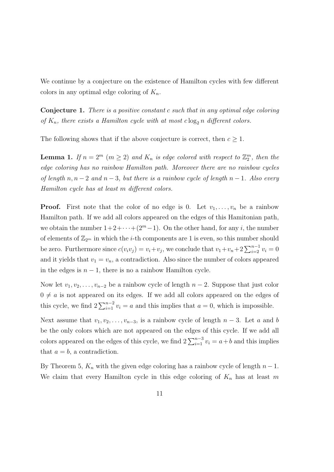We continue by a conjecture on the existence of Hamilton cycles with few different colors in any optimal edge coloring of  $K_n$ .

Conjecture 1. There is a positive constant c such that in any optimal edge coloring of  $K_n$ , there exists a Hamilton cycle with at most clog<sub>2</sub> n different colors.

The following shows that if the above conjecture is correct, then  $c \geq 1$ .

**Lemma 1.** If  $n = 2^m$   $(m \ge 2)$  and  $K_n$  is edge colored with respect to  $\mathbb{Z}_2^m$ , then the edge coloring has no rainbow Hamilton path. Moreover there are no rainbow cycles of length  $n, n-2$  and  $n-3$ , but there is a rainbow cycle of length  $n-1$ . Also every Hamilton cycle has at least m different colors.

**Proof.** First note that the color of no edge is 0. Let  $v_1, \ldots, v_n$  be a rainbow Hamilton path. If we add all colors appeared on the edges of this Hamitonian path, we obtain the number  $1+2+\cdots+(2^m-1)$ . On the other hand, for any *i*, the number of elements of  $\mathbb{Z}_{2^m}$  in which the *i*-th components are 1 is even, so this number should be zero. Furthermore since  $c(v_i v_j) = v_i + v_j$ , we conclude that  $v_1 + v_n + 2 \sum_{i=2}^{n-1} v_i = 0$ and it yields that  $v_1 = v_n$ , a contradiction. Also since the number of colors appeared in the edges is  $n-1$ , there is no a rainbow Hamilton cycle.

Now let  $v_1, v_2, \ldots, v_{n-2}$  be a rainbow cycle of length  $n-2$ . Suppose that just color  $0 \neq a$  is not appeared on its edges. If we add all colors appeared on the edges of this cycle, we find  $2\sum_{i=1}^{n-2} v_i = a$  and this implies that  $a = 0$ , which is impossible.

Next assume that  $v_1, v_2, \ldots, v_{n-3}$ , is a rainbow cycle of length  $n-3$ . Let a and b be the only colors which are not appeared on the edges of this cycle. If we add all colors appeared on the edges of this cycle, we find  $2\sum_{i=1}^{n-3} v_i = a+b$  and this implies that  $a = b$ , a contradiction.

By Theorem 5,  $K_n$  with the given edge coloring has a rainbow cycle of length  $n-1$ . We claim that every Hamilton cycle in this edge coloring of  $K_n$  has at least m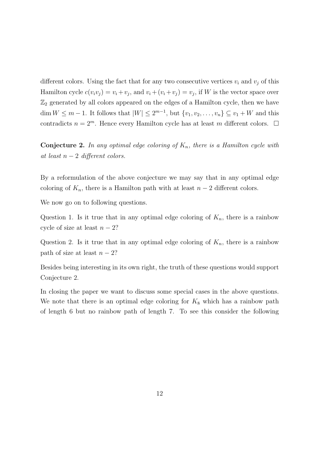different colors. Using the fact that for any two consecutive vertices  $v_i$  and  $v_j$  of this Hamilton cycle  $c(v_i v_j) = v_i + v_j$ , and  $v_i + (v_i + v_j) = v_j$ , if W is the vector space over  $\mathbb{Z}_2$  generated by all colors appeared on the edges of a Hamilton cycle, then we have  $\dim W \leq m-1$ . It follows that  $|W| \leq 2^{m-1}$ , but  $\{v_1, v_2, \ldots, v_n\} \subseteq v_1 + W$  and this contradicts  $n = 2^m$ . Hence every Hamilton cycle has at least m different colors.  $\Box$ 

**Conjecture 2.** In any optimal edge coloring of  $K_n$ , there is a Hamilton cycle with at least  $n-2$  different colors.

By a reformulation of the above conjecture we may say that in any optimal edge coloring of  $K_n$ , there is a Hamilton path with at least  $n-2$  different colors.

We now go on to following questions.

Question 1. Is it true that in any optimal edge coloring of  $K_n$ , there is a rainbow cycle of size at least  $n-2$ ?

Question 2. Is it true that in any optimal edge coloring of  $K_n$ , there is a rainbow path of size at least  $n-2$ ?

Besides being interesting in its own right, the truth of these questions would support Conjecture 2.

In closing the paper we want to discuss some special cases in the above questions. We note that there is an optimal edge coloring for  $K_8$  which has a rainbow path of length 6 but no rainbow path of length 7. To see this consider the following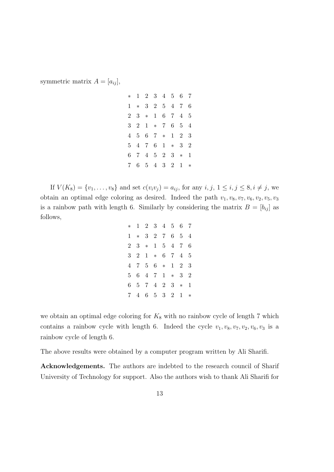symmetric matrix  $A = [a_{ij}],$ 

| $*$            |                |                | $1 \quad 2 \quad 3$ |                | 4 5            | 6              | -7             |
|----------------|----------------|----------------|---------------------|----------------|----------------|----------------|----------------|
| $\mathbf{1}$   | $\ast$         | 3 <sup>1</sup> | $2^{-}$             | 5 <sup>5</sup> | $\overline{4}$ | 7              | 6              |
| $\overline{2}$ | 3              | $\ast$         | 1                   | 6              | $7^{\circ}$    | 4              | 5              |
| 3              | $\overline{2}$ | $\mathbf{1}$   | $*$ 7               |                | 6              | 5              | 4              |
| 4              | 5              | 6              | $7^{\circ}$         | $*$            | 1              | $\overline{2}$ | 3              |
| $5^{\circ}$    | 4              | $7\phantom{.}$ | 6                   | 1              | $\ast$         | 3              | $\overline{2}$ |
| 6              | 7              | $\overline{4}$ | 5 <sup>5</sup>      | $2^{-}$        | 3              | $\ast$         | 1              |
| $\overline{7}$ | 6              | 5 <sup>5</sup> | 4                   | 3 <sup>1</sup> | $\overline{2}$ | 1              | $\ast$         |

If  $V(K_8) = \{v_1, \ldots, v_8\}$  and set  $c(v_i v_j) = a_{ij}$ , for any  $i, j, 1 \le i, j \le 8, i \ne j$ , we obtain an optimal edge coloring as desired. Indeed the path  $v_1, v_8, v_7, v_6, v_2, v_5, v_3$ is a rainbow path with length 6. Similarly by considering the matrix  $B = [b_{ij}]$  as follows,

| $\ast$         | 1      | $2^{-}$ | 3              |                | 4 5            | 6            | 7              |
|----------------|--------|---------|----------------|----------------|----------------|--------------|----------------|
| 1              | $\ast$ | 3       | $\overline{2}$ | 7              | 6              | 5            | 4              |
| $\overline{2}$ | 3      | $\ast$  | 1              | 5 <sup>5</sup> | 4              | 7            | 6              |
| 3              | 2      | 1       | $\ast$         | 6              | 7              | 4            | 5              |
| 4              | 7      | 5       | 6              | $\ast$         | 1              | 2            | 3              |
| 5              | 6      | 4       | 7              | 1              | $\ast$         | 3            | $\overline{2}$ |
| 6              | 5      | 7       | 4              | $\overline{2}$ | 3              | $\ast$       | 1              |
| 7              | 4      | 6       | 5              | 3              | $\overline{2}$ | $\mathbf{1}$ | $\ast$         |

we obtain an optimal edge coloring for  $K_8$  with no rainbow cycle of length 7 which contains a rainbow cycle with length 6. Indeed the cycle  $v_1, v_8, v_7, v_2, v_6, v_3$  is a rainbow cycle of length 6.

The above results were obtained by a computer program written by Ali Sharifi.

Acknowledgements. The authors are indebted to the research council of Sharif University of Technology for support. Also the authors wish to thank Ali Sharifi for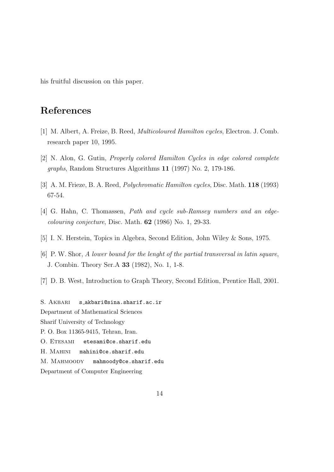his fruitful discussion on this paper.

## References

- [1] M. Albert, A. Freize, B. Reed, Multicoloured Hamilton cycles, Electron. J. Comb. research paper 10, 1995.
- [2] N. Alon, G. Gutin, Properly colored Hamilton Cycles in edge colored complete graphs, Random Structures Algorithms 11 (1997) No. 2, 179-186.
- [3] A. M. Frieze, B. A. Reed, Polychromatic Hamilton cycles, Disc. Math. 118 (1993) 67-54.
- [4] G. Hahn, C. Thomassen, *Path and cycle sub-Ramsey numbers and an edge*colouring conjecture, Disc. Math. 62 (1986) No. 1, 29-33.
- [5] I. N. Herstein, Topics in Algebra, Second Edition, John Wiley & Sons, 1975.
- [6] P. W. Shor, A lower bound for the lenght of the partial transversal in latin square, J. Combin. Theory Ser.A 33 (1982), No. 1, 1-8.
- [7] D. B. West, Introduction to Graph Theory, Second Edition, Prentice Hall, 2001.

S. AKBARI s\_akbari@sina.sharif.ac.ir Department of Mathematical Sciences Sharif University of Technology P. O. Box 11365-9415, Tehran, Iran. O. ETESAMI etesami@ce.sharif.edu H. MAHINI mahini@ce.sharif.edu M. MAHMOODY mahmoody@ce.sharif.edu Department of Computer Engineering